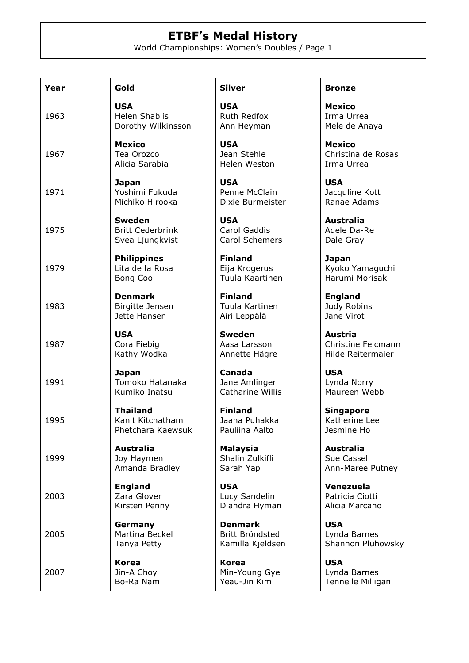## **ETBF's Medal History**

World Championships: Women's Doubles / Page 1

| Year | Gold                    | <b>Silver</b>    | <b>Bronze</b>      |
|------|-------------------------|------------------|--------------------|
| 1963 | <b>USA</b>              | <b>USA</b>       | <b>Mexico</b>      |
|      | <b>Helen Shablis</b>    | Ruth Redfox      | Irma Urrea         |
|      | Dorothy Wilkinsson      | Ann Heyman       | Mele de Anaya      |
| 1967 | <b>Mexico</b>           | <b>USA</b>       | <b>Mexico</b>      |
|      | Tea Orozco              | Jean Stehle      | Christina de Rosas |
|      | Alicia Sarabia          | Helen Weston     | Irma Urrea         |
| 1971 | Japan                   | <b>USA</b>       | <b>USA</b>         |
|      | Yoshimi Fukuda          | Penne McClain    | Jacquline Kott     |
|      | Michiko Hirooka         | Dixie Burmeister | Ranae Adams        |
| 1975 | <b>Sweden</b>           | <b>USA</b>       | <b>Australia</b>   |
|      | <b>Britt Cederbrink</b> | Carol Gaddis     | Adele Da-Re        |
|      | Svea Ljungkvist         | Carol Schemers   | Dale Gray          |
| 1979 | <b>Philippines</b>      | <b>Finland</b>   | <b>Japan</b>       |
|      | Lita de la Rosa         | Eija Krogerus    | Kyoko Yamaguchi    |
|      | Bong Coo                | Tuula Kaartinen  | Harumi Morisaki    |
| 1983 | <b>Denmark</b>          | <b>Finland</b>   | <b>England</b>     |
|      | Birgitte Jensen         | Tuula Kartinen   | Judy Robins        |
|      | Jette Hansen            | Airi Leppälä     | Jane Virot         |
| 1987 | <b>USA</b>              | <b>Sweden</b>    | <b>Austria</b>     |
|      | Cora Fiebig             | Aasa Larsson     | Christine Felcmann |
|      | Kathy Wodka             | Annette Hägre    | Hilde Reitermaier  |
| 1991 | <b>Japan</b>            | Canada           | <b>USA</b>         |
|      | Tomoko Hatanaka         | Jane Amlinger    | Lynda Norry        |
|      | Kumiko Inatsu           | Catharine Willis | Maureen Webb       |
| 1995 | <b>Thailand</b>         | <b>Finland</b>   | <b>Singapore</b>   |
|      | Kanit Kitchatham        | Jaana Puhakka    | Katherine Lee      |
|      | Phetchara Kaewsuk       | Pauliina Aalto   | Jesmine Ho         |
| 1999 | <b>Australia</b>        | <b>Malaysia</b>  | <b>Australia</b>   |
|      | Joy Haymen              | Shalin Zulkifli  | Sue Cassell        |
|      | Amanda Bradley          | Sarah Yap        | Ann-Maree Putney   |
| 2003 | <b>England</b>          | <b>USA</b>       | Venezuela          |
|      | Zara Glover             | Lucy Sandelin    | Patricia Ciotti    |
|      | Kirsten Penny           | Diandra Hyman    | Alicia Marcano     |
| 2005 | Germany                 | <b>Denmark</b>   | <b>USA</b>         |
|      | Martina Beckel          | Britt Bröndsted  | Lynda Barnes       |
|      | Tanya Petty             | Kamilla Kjeldsen | Shannon Pluhowsky  |
| 2007 | <b>Korea</b>            | <b>Korea</b>     | <b>USA</b>         |
|      | Jin-A Choy              | Min-Young Gye    | Lynda Barnes       |
|      | Bo-Ra Nam               | Yeau-Jin Kim     | Tennelle Milligan  |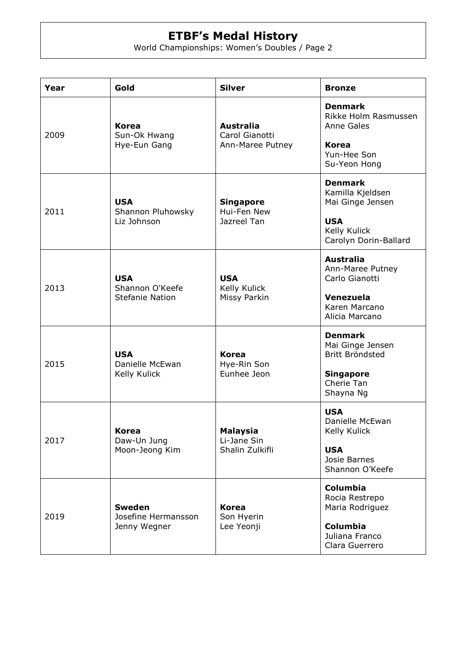## **ETBF's Medal History**

World Championships: Women's Doubles / Page 2

| Year | Gold                                                    | <b>Silver</b>                                          | <b>Bronze</b>                                                                                                 |
|------|---------------------------------------------------------|--------------------------------------------------------|---------------------------------------------------------------------------------------------------------------|
| 2009 | <b>Korea</b><br>Sun-Ok Hwang<br>Hye-Eun Gang            | <b>Australia</b><br>Carol Gianotti<br>Ann-Maree Putney | <b>Denmark</b><br>Rikke Holm Rasmussen<br>Anne Gales<br><b>Korea</b><br>Yun-Hee Son<br>Su-Yeon Hong           |
| 2011 | <b>USA</b><br>Shannon Pluhowsky<br>Liz Johnson          | <b>Singapore</b><br>Hui-Fen New<br>Jazreel Tan         | <b>Denmark</b><br>Kamilla Kjeldsen<br>Mai Ginge Jensen<br><b>USA</b><br>Kelly Kulick<br>Carolyn Dorin-Ballard |
| 2013 | <b>USA</b><br>Shannon O'Keefe<br><b>Stefanie Nation</b> | <b>USA</b><br>Kelly Kulick<br>Missy Parkin             | <b>Australia</b><br>Ann-Maree Putney<br>Carlo Gianotti<br>Venezuela<br>Karen Marcano<br>Alicia Marcano        |
| 2015 | <b>USA</b><br>Danielle McEwan<br>Kelly Kulick           | Korea<br>Hye-Rin Son<br>Eunhee Jeon                    | <b>Denmark</b><br>Mai Ginge Jensen<br>Britt Bröndsted<br><b>Singapore</b><br>Cherie Tan<br>Shayna Ng          |
| 2017 | <b>Korea</b><br>Daw-Un Jung<br>Moon-Jeong Kim           | <b>Malaysia</b><br>Li-Jane Sin<br>Shalin Zulkifli      | <b>USA</b><br>Danielle McEwan<br>Kelly Kulick<br><b>USA</b><br>Josie Barnes<br>Shannon O'Keefe                |
| 2019 | <b>Sweden</b><br>Josefine Hermansson<br>Jenny Wegner    | <b>Korea</b><br>Son Hyerin<br>Lee Yeonji               | <b>Columbia</b><br>Rocia Restrepo<br>Maria Rodriguez<br>Columbia<br>Juliana Franco<br>Clara Guerrero          |